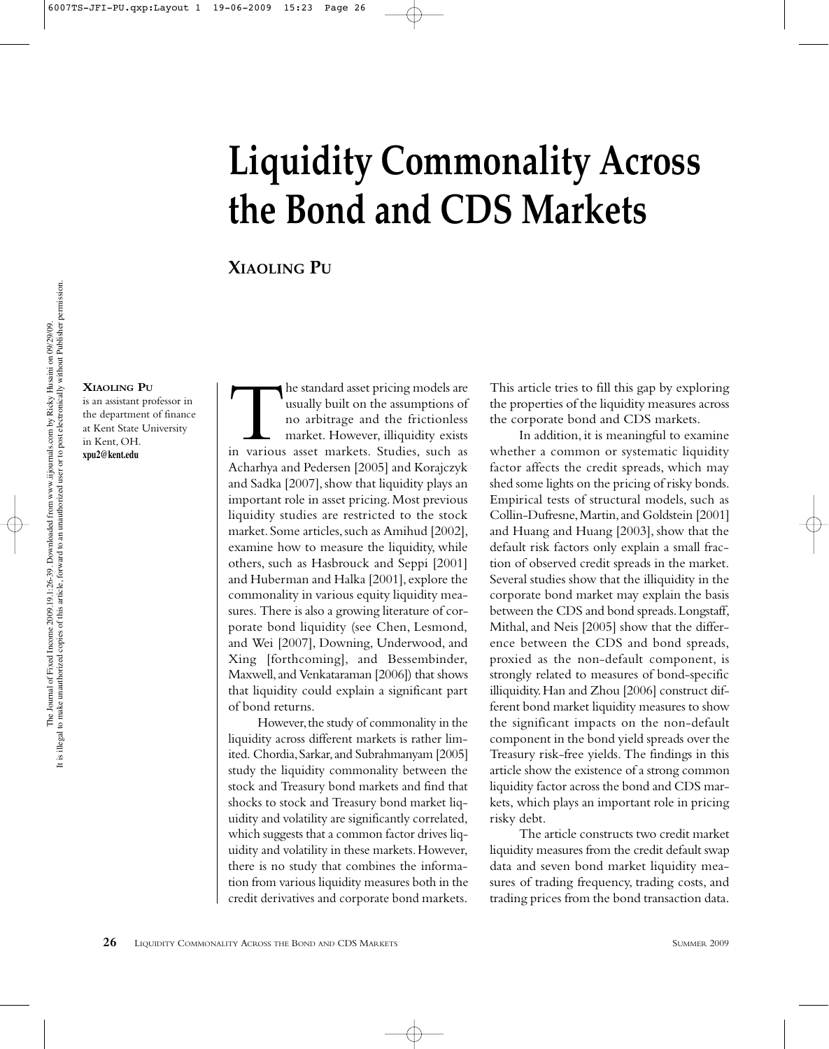# **Liquidity Commonality Across the Bond and CDS Markets**

# **XIAOLING PU**

#### **XIAOLING PU**

is an assistant professor in the department of finance at Kent State University in Kent, OH. **xpu2@kent.edu**

The standard asset pricing models are<br>usually built on the assumptions of<br>no arbitrage and the frictionless<br>market. However, illiquidity exists<br>in various asset markets. Studies, such as usually built on the assumptions of no arbitrage and the frictionless market. However, illiquidity exists in various asset markets. Studies, such as Acharhya and Pedersen [2005] and Korajczyk and Sadka [2007], show that liquidity plays an important role in asset pricing. Most previous liquidity studies are restricted to the stock market. Some articles, such as Amihud [2002], examine how to measure the liquidity, while others, such as Hasbrouck and Seppi [2001] and Huberman and Halka [2001], explore the commonality in various equity liquidity measures. There is also a growing literature of corporate bond liquidity (see Chen, Lesmond, and Wei [2007], Downing, Underwood, and Xing [forthcoming], and Bessembinder, Maxwell, and Venkataraman [2006]) that shows that liquidity could explain a significant part of bond returns.

However, the study of commonality in the liquidity across different markets is rather limited. Chordia, Sarkar, and Subrahmanyam [2005] study the liquidity commonality between the stock and Treasury bond markets and find that shocks to stock and Treasury bond market liquidity and volatility are significantly correlated, which suggests that a common factor drives liquidity and volatility in these markets. However, there is no study that combines the information from various liquidity measures both in the credit derivatives and corporate bond markets.

This article tries to fill this gap by exploring the properties of the liquidity measures across the corporate bond and CDS markets.

In addition, it is meaningful to examine whether a common or systematic liquidity factor affects the credit spreads, which may shed some lights on the pricing of risky bonds. Empirical tests of structural models, such as Collin-Dufresne, Martin, and Goldstein [2001] and Huang and Huang [2003], show that the default risk factors only explain a small fraction of observed credit spreads in the market. Several studies show that the illiquidity in the corporate bond market may explain the basis between the CDS and bond spreads. Longstaff, Mithal, and Neis [2005] show that the difference between the CDS and bond spreads, proxied as the non-default component, is strongly related to measures of bond-specific illiquidity. Han and Zhou [2006] construct different bond market liquidity measures to show the significant impacts on the non-default component in the bond yield spreads over the Treasury risk-free yields. The findings in this article show the existence of a strong common liquidity factor across the bond and CDS markets, which plays an important role in pricing risky debt.

The article constructs two credit market liquidity measures from the credit default swap data and seven bond market liquidity measures of trading frequency, trading costs, and trading prices from the bond transaction data.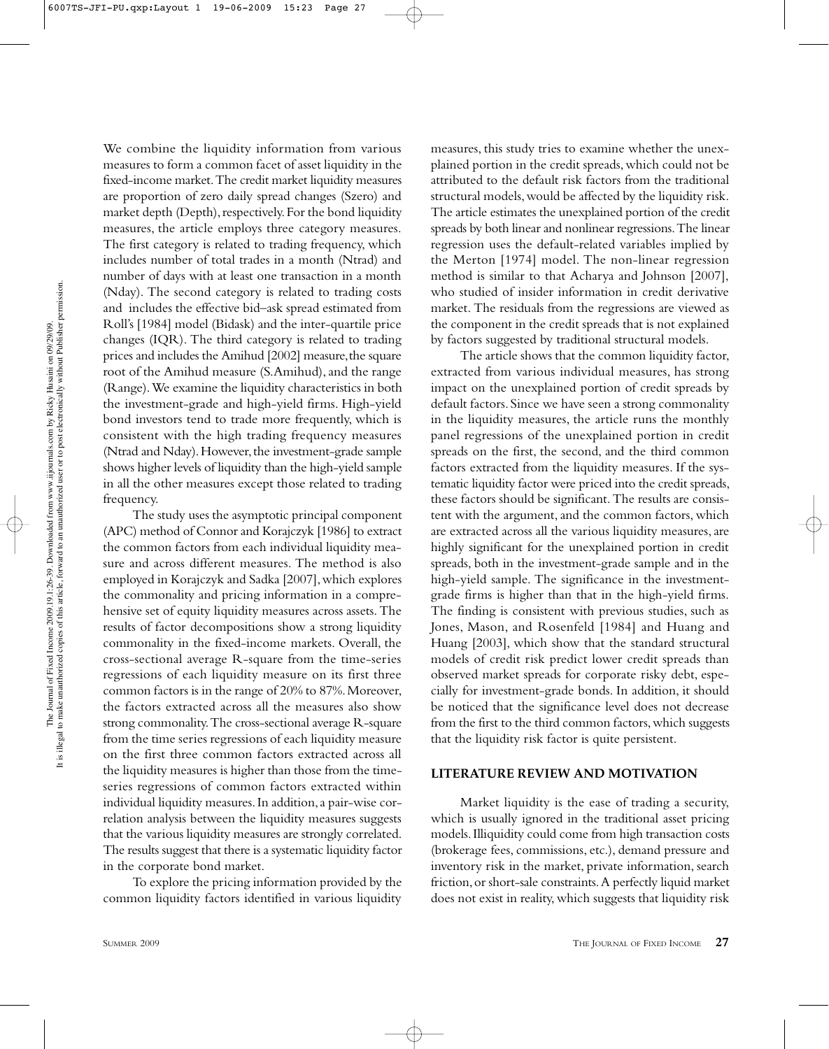We combine the liquidity information from various measures to form a common facet of asset liquidity in the fixed-income market. The credit market liquidity measures are proportion of zero daily spread changes (Szero) and market depth (Depth), respectively. For the bond liquidity measures, the article employs three category measures. The first category is related to trading frequency, which includes number of total trades in a month (Ntrad) and number of days with at least one transaction in a month (Nday). The second category is related to trading costs and includes the effective bid–ask spread estimated from Roll's [1984] model (Bidask) and the inter-quartile price changes (IQR). The third category is related to trading prices and includes the Amihud [2002] measure, the square root of the Amihud measure (S.Amihud), and the range (Range). We examine the liquidity characteristics in both the investment-grade and high-yield firms. High-yield bond investors tend to trade more frequently, which is consistent with the high trading frequency measures (Ntrad and Nday). However, the investment-grade sample shows higher levels of liquidity than the high-yield sample in all the other measures except those related to trading frequency.

The study uses the asymptotic principal component (APC) method of Connor and Korajczyk [1986] to extract the common factors from each individual liquidity measure and across different measures. The method is also employed in Korajczyk and Sadka [2007], which explores the commonality and pricing information in a comprehensive set of equity liquidity measures across assets. The results of factor decompositions show a strong liquidity commonality in the fixed-income markets. Overall, the cross-sectional average R-square from the time-series regressions of each liquidity measure on its first three common factors is in the range of 20% to 87%. Moreover, the factors extracted across all the measures also show strong commonality. The cross-sectional average R-square from the time series regressions of each liquidity measure on the first three common factors extracted across all the liquidity measures is higher than those from the timeseries regressions of common factors extracted within individual liquidity measures. In addition, a pair-wise correlation analysis between the liquidity measures suggests that the various liquidity measures are strongly correlated. The results suggest that there is a systematic liquidity factor in the corporate bond market.

To explore the pricing information provided by the common liquidity factors identified in various liquidity

measures, this study tries to examine whether the unexplained portion in the credit spreads, which could not be attributed to the default risk factors from the traditional structural models, would be affected by the liquidity risk. The article estimates the unexplained portion of the credit spreads by both linear and nonlinear regressions. The linear regression uses the default-related variables implied by the Merton [1974] model. The non-linear regression method is similar to that Acharya and Johnson [2007], who studied of insider information in credit derivative market. The residuals from the regressions are viewed as the component in the credit spreads that is not explained by factors suggested by traditional structural models.

The article shows that the common liquidity factor, extracted from various individual measures, has strong impact on the unexplained portion of credit spreads by default factors. Since we have seen a strong commonality in the liquidity measures, the article runs the monthly panel regressions of the unexplained portion in credit spreads on the first, the second, and the third common factors extracted from the liquidity measures. If the systematic liquidity factor were priced into the credit spreads, these factors should be significant. The results are consistent with the argument, and the common factors, which are extracted across all the various liquidity measures, are highly significant for the unexplained portion in credit spreads, both in the investment-grade sample and in the high-yield sample. The significance in the investmentgrade firms is higher than that in the high-yield firms. The finding is consistent with previous studies, such as Jones, Mason, and Rosenfeld [1984] and Huang and Huang [2003], which show that the standard structural models of credit risk predict lower credit spreads than observed market spreads for corporate risky debt, especially for investment-grade bonds. In addition, it should be noticed that the significance level does not decrease from the first to the third common factors, which suggests that the liquidity risk factor is quite persistent.

## **LITERATURE REVIEW AND MOTIVATION**

Market liquidity is the ease of trading a security, which is usually ignored in the traditional asset pricing models. Illiquidity could come from high transaction costs (brokerage fees, commissions, etc.), demand pressure and inventory risk in the market, private information, search friction, or short-sale constraints. A perfectly liquid market does not exist in reality, which suggests that liquidity risk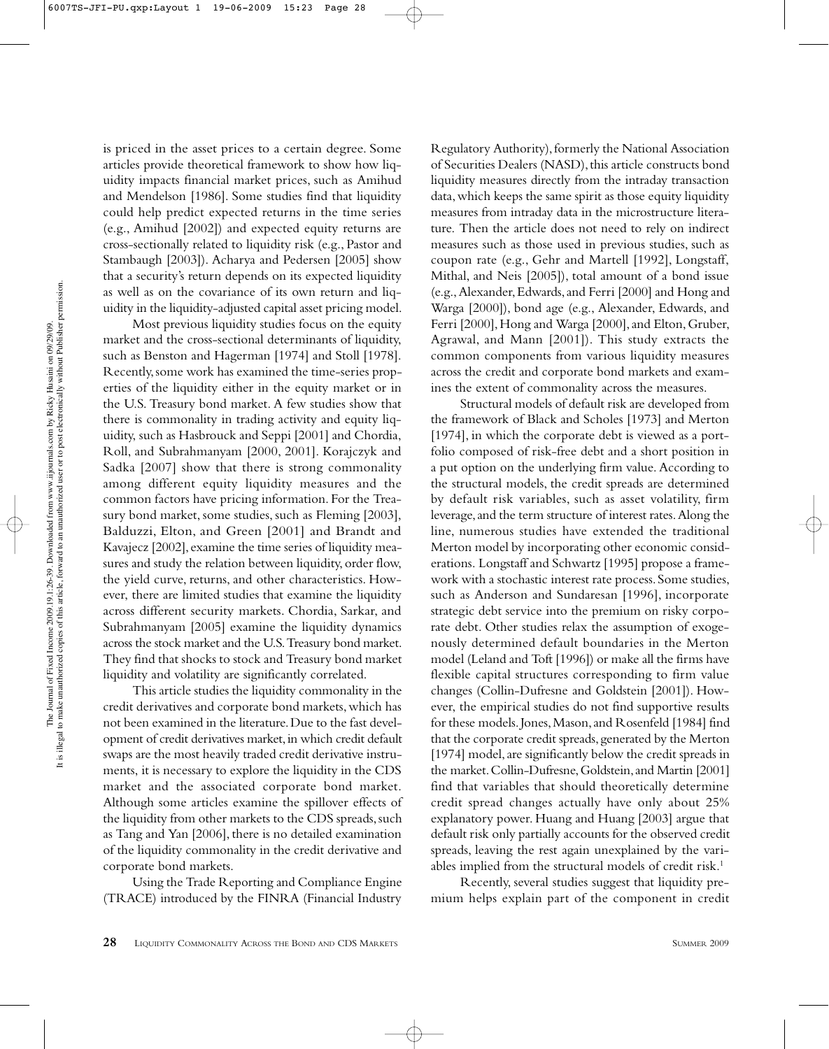is priced in the asset prices to a certain degree. Some articles provide theoretical framework to show how liquidity impacts financial market prices, such as Amihud and Mendelson [1986]. Some studies find that liquidity could help predict expected returns in the time series (e.g., Amihud [2002]) and expected equity returns are cross-sectionally related to liquidity risk (e.g., Pastor and Stambaugh [2003]). Acharya and Pedersen [2005] show that a security's return depends on its expected liquidity as well as on the covariance of its own return and liquidity in the liquidity-adjusted capital asset pricing model.

Most previous liquidity studies focus on the equity market and the cross-sectional determinants of liquidity, such as Benston and Hagerman [1974] and Stoll [1978]. Recently, some work has examined the time-series properties of the liquidity either in the equity market or in the U.S. Treasury bond market. A few studies show that there is commonality in trading activity and equity liquidity, such as Hasbrouck and Seppi [2001] and Chordia, Roll, and Subrahmanyam [2000, 2001]. Korajczyk and Sadka [2007] show that there is strong commonality among different equity liquidity measures and the common factors have pricing information. For the Treasury bond market, some studies, such as Fleming [2003], Balduzzi, Elton, and Green [2001] and Brandt and Kavajecz [2002], examine the time series of liquidity measures and study the relation between liquidity, order flow, the yield curve, returns, and other characteristics. However, there are limited studies that examine the liquidity across different security markets. Chordia, Sarkar, and Subrahmanyam [2005] examine the liquidity dynamics across the stock market and the U.S. Treasury bond market. They find that shocks to stock and Treasury bond market liquidity and volatility are significantly correlated.

This article studies the liquidity commonality in the credit derivatives and corporate bond markets, which has not been examined in the literature. Due to the fast development of credit derivatives market, in which credit default swaps are the most heavily traded credit derivative instruments, it is necessary to explore the liquidity in the CDS market and the associated corporate bond market. Although some articles examine the spillover effects of the liquidity from other markets to the CDS spreads, such as Tang and Yan [2006], there is no detailed examination of the liquidity commonality in the credit derivative and corporate bond markets.

Using the Trade Reporting and Compliance Engine (TRACE) introduced by the FINRA (Financial Industry

Regulatory Authority), formerly the National Association of Securities Dealers (NASD), this article constructs bond liquidity measures directly from the intraday transaction data, which keeps the same spirit as those equity liquidity measures from intraday data in the microstructure literature. Then the article does not need to rely on indirect measures such as those used in previous studies, such as coupon rate (e.g., Gehr and Martell [1992], Longstaff, Mithal, and Neis [2005]), total amount of a bond issue (e.g., Alexander, Edwards, and Ferri [2000] and Hong and Warga [2000]), bond age (e.g., Alexander, Edwards, and Ferri [2000], Hong and Warga [2000], and Elton, Gruber, Agrawal, and Mann [2001]). This study extracts the common components from various liquidity measures across the credit and corporate bond markets and examines the extent of commonality across the measures.

Structural models of default risk are developed from the framework of Black and Scholes [1973] and Merton [1974], in which the corporate debt is viewed as a portfolio composed of risk-free debt and a short position in a put option on the underlying firm value. According to the structural models, the credit spreads are determined by default risk variables, such as asset volatility, firm leverage, and the term structure of interest rates. Along the line, numerous studies have extended the traditional Merton model by incorporating other economic considerations. Longstaff and Schwartz [1995] propose a framework with a stochastic interest rate process. Some studies, such as Anderson and Sundaresan [1996], incorporate strategic debt service into the premium on risky corporate debt. Other studies relax the assumption of exogenously determined default boundaries in the Merton model (Leland and Toft [1996]) or make all the firms have flexible capital structures corresponding to firm value changes (Collin-Dufresne and Goldstein [2001]). However, the empirical studies do not find supportive results for these models. Jones, Mason, and Rosenfeld [1984] find that the corporate credit spreads, generated by the Merton [1974] model, are significantly below the credit spreads in the market. Collin-Dufresne, Goldstein, and Martin [2001] find that variables that should theoretically determine credit spread changes actually have only about 25% explanatory power. Huang and Huang [2003] argue that default risk only partially accounts for the observed credit spreads, leaving the rest again unexplained by the variables implied from the structural models of credit risk.<sup>1</sup>

Recently, several studies suggest that liquidity premium helps explain part of the component in credit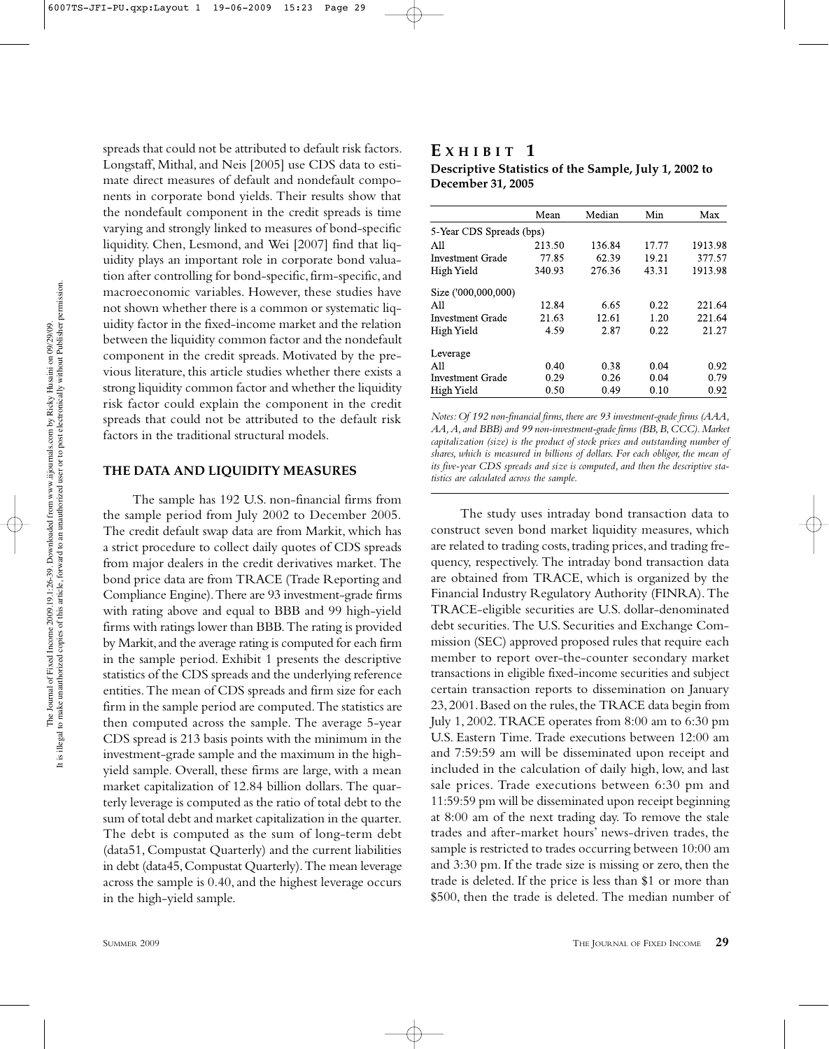spreads that could not be attributed to default risk factors. Longstaff, Mithal, and Neis [2005] use CDS data to estimate direct measures of default and nondefault components in corporate bond yields. Their results show that the nondefault component in the credit spreads is time varying and strongly linked to measures of bond-specific liquidity. Chen, Lesmond, and Wei [2007] find that liquidity plays an important role in corporate bond valuation after controlling for bond-specific, firm-specific, and macroeconomic variables. However, these studies have not shown whether there is a common or systematic liquidity factor in the fixed-income market and the relation between the liquidity common factor and the nondefault component in the credit spreads. Motivated by the previous literature, this article studies whether there exists a strong liquidity common factor and whether the liquidity risk factor could explain the component in the credit spreads that could not be attributed to the default risk factors in the traditional structural models.

#### **THE DATA AND LIQUIDITY MEASURES**

The sample has 192 U.S. non-financial firms from the sample period from July 2002 to December 2005. The credit default swap data are from Markit, which has a strict procedure to collect daily quotes of CDS spreads from major dealers in the credit derivatives market. The bond price data are from TRACE (Trade Reporting and Compliance Engine). There are 93 investment-grade firms with rating above and equal to BBB and 99 high-yield firms with ratings lower than BBB. The rating is provided by Markit, and the average rating is computed for each firm in the sample period. Exhibit 1 presents the descriptive statistics of the CDS spreads and the underlying reference entities. The mean of CDS spreads and firm size for each firm in the sample period are computed. The statistics are then computed across the sample. The average 5-year CDS spread is 213 basis points with the minimum in the investment-grade sample and the maximum in the highyield sample. Overall, these firms are large, with a mean market capitalization of 12.84 billion dollars. The quarterly leverage is computed as the ratio of total debt to the sum of total debt and market capitalization in the quarter. The debt is computed as the sum of long-term debt (data51, Compustat Quarterly) and the current liabilities in debt (data45, Compustat Quarterly). The mean leverage across the sample is 0.40, and the highest leverage occurs in the high-yield sample.

## **E XHIBIT 1 Descriptive Statistics of the Sample, July 1, 2002 to December 31, 2005**

|                          | Mean   | Median | Min   | Max     |
|--------------------------|--------|--------|-------|---------|
| 5-Year CDS Spreads (bps) |        |        |       |         |
| All                      | 213.50 | 136.84 | 17.77 | 1913.98 |
| <b>Investment Grade</b>  | 77.85  | 62.39  | 19.21 | 377.57  |
| High Yield               | 340.93 | 276.36 | 43.31 | 1913.98 |
| Size ('000,000,000)      |        |        |       |         |
| All                      | 12.84  | 6.65   | 0.22  | 221.64  |
| Investment Grade         | 21.63  | 12.61  | 1.20  | 221.64  |
| High Yield               | 4.59   | 2.87   | 0.22  | 21.27   |
| Leverage                 |        |        |       |         |
| All                      | 0.40   | 0.38   | 0.04  | 0.92    |
| Investment Grade         | 0.29   | 0.26   | 0.04  | 0.79    |
| High Yield               | 0.50   | 0.49   | 0.10  | 0.92    |

*Notes: Of 192 non-financial firms, there are 93 investment-grade firms (AAA, AA, A, and BBB) and 99 non-investment-grade firms (BB, B, CCC). Market capitalization (size) is the product of stock prices and outstanding number of shares, which is measured in billions of dollars. For each obligor, the mean of its five-year CDS spreads and size is computed, and then the descriptive statistics are calculated across the sample.*

The study uses intraday bond transaction data to construct seven bond market liquidity measures, which are related to trading costs, trading prices, and trading frequency, respectively. The intraday bond transaction data are obtained from TRACE, which is organized by the Financial Industry Regulatory Authority (FINRA). The TRACE-eligible securities are U.S. dollar-denominated debt securities. The U.S. Securities and Exchange Commission (SEC) approved proposed rules that require each member to report over-the-counter secondary market transactions in eligible fixed-income securities and subject certain transaction reports to dissemination on January 23, 2001. Based on the rules, the TRACE data begin from July 1, 2002. TRACE operates from 8:00 am to 6:30 pm U.S. Eastern Time. Trade executions between 12:00 am and 7:59:59 am will be disseminated upon receipt and included in the calculation of daily high, low, and last sale prices. Trade executions between 6:30 pm and 11:59:59 pm will be disseminated upon receipt beginning at 8:00 am of the next trading day. To remove the stale trades and after-market hours' news-driven trades, the sample is restricted to trades occurring between 10:00 am and 3:30 pm. If the trade size is missing or zero, then the trade is deleted. If the price is less than \$1 or more than \$500, then the trade is deleted. The median number of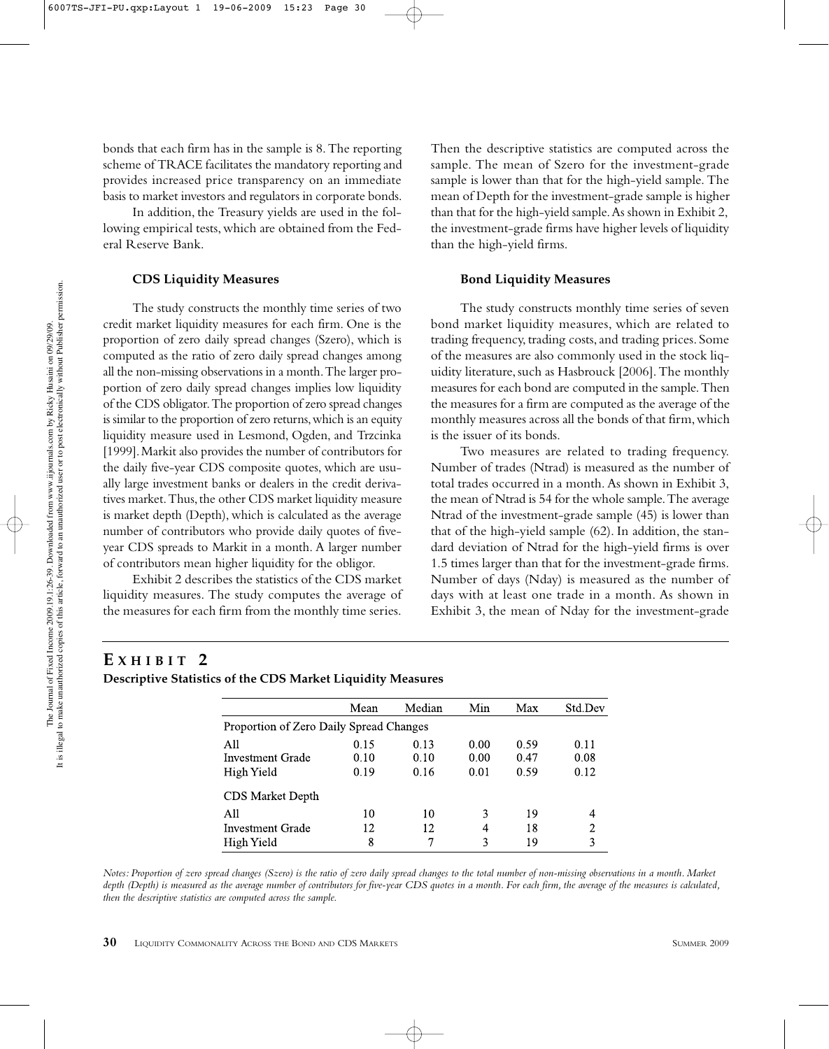bonds that each firm has in the sample is 8. The reporting scheme of TRACE facilitates the mandatory reporting and provides increased price transparency on an immediate basis to market investors and regulators in corporate bonds.

In addition, the Treasury yields are used in the following empirical tests, which are obtained from the Federal Reserve Bank.

#### **CDS Liquidity Measures**

The study constructs the monthly time series of two credit market liquidity measures for each firm. One is the proportion of zero daily spread changes (Szero), which is computed as the ratio of zero daily spread changes among all the non-missing observations in a month. The larger proportion of zero daily spread changes implies low liquidity of the CDS obligator. The proportion of zero spread changes is similar to the proportion of zero returns, which is an equity liquidity measure used in Lesmond, Ogden, and Trzcinka [1999]. Markit also provides the number of contributors for the daily five-year CDS composite quotes, which are usually large investment banks or dealers in the credit derivatives market. Thus, the other CDS market liquidity measure is market depth (Depth), which is calculated as the average number of contributors who provide daily quotes of fiveyear CDS spreads to Markit in a month. A larger number of contributors mean higher liquidity for the obligor.

Exhibit 2 describes the statistics of the CDS market liquidity measures. The study computes the average of the measures for each firm from the monthly time series.

Then the descriptive statistics are computed across the sample. The mean of Szero for the investment-grade sample is lower than that for the high-yield sample. The mean of Depth for the investment-grade sample is higher than that for the high-yield sample. As shown in Exhibit 2, the investment-grade firms have higher levels of liquidity than the high-yield firms.

#### **Bond Liquidity Measures**

The study constructs monthly time series of seven bond market liquidity measures, which are related to trading frequency, trading costs, and trading prices. Some of the measures are also commonly used in the stock liquidity literature, such as Hasbrouck [2006]. The monthly measures for each bond are computed in the sample. Then the measures for a firm are computed as the average of the monthly measures across all the bonds of that firm, which is the issuer of its bonds.

Two measures are related to trading frequency. Number of trades (Ntrad) is measured as the number of total trades occurred in a month. As shown in Exhibit 3, the mean of Ntrad is 54 for the whole sample. The average Ntrad of the investment-grade sample (45) is lower than that of the high-yield sample (62). In addition, the standard deviation of Ntrad for the high-yield firms is over 1.5 times larger than that for the investment-grade firms. Number of days (Nday) is measured as the number of days with at least one trade in a month. As shown in Exhibit 3, the mean of Nday for the investment-grade

## **E XHIBIT 2**

**Descriptive Statistics of the CDS Market Liquidity Measures**

|                                         | Mean | Median | Min  | Max  | Std.Dev |
|-----------------------------------------|------|--------|------|------|---------|
| Proportion of Zero Daily Spread Changes |      |        |      |      |         |
| A11                                     | 0.15 | 0.13   | 0.00 | 0.59 | 0.11    |
| Investment Grade                        | 0.10 | 0.10   | 0.00 | 0.47 | 0.08    |
| High Yield                              | 0.19 | 0.16   | 0.01 | 0.59 | 0.12    |
| <b>CDS</b> Market Depth                 |      |        |      |      |         |
| All                                     | 10   | 10     | 3    | 19   |         |
| Investment Grade                        | 12   | 12     | 4    | 18   | 2       |
| High Yield                              | 8    | 7      | 3    | 19   | 3       |

*Notes: Proportion of zero spread changes (Szero) is the ratio of zero daily spread changes to the total number of non-missing observations in a month. Market depth (Depth) is measured as the average number of contributors for five-year CDS quotes in a month. For each firm, the average of the measures is calculated, then the descriptive statistics are computed across the sample.*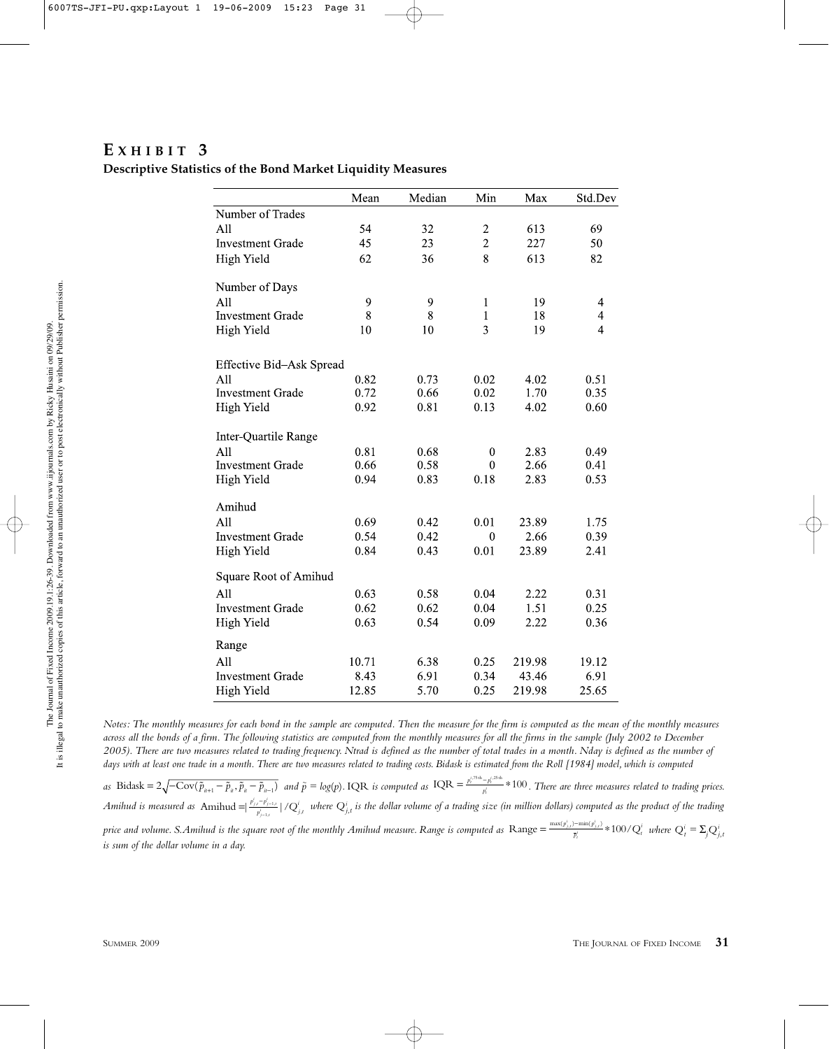## **E XHIBIT 3**

#### **Descriptive Statistics of the Bond Market Liquidity Measures**

|                          | Mean  | Median | Min            | Max    | Std.Dev                 |
|--------------------------|-------|--------|----------------|--------|-------------------------|
| Number of Trades         |       |        |                |        |                         |
| All                      | 54    | 32     | $\overline{c}$ | 613    | 69                      |
| <b>Investment Grade</b>  | 45    | 23     | $\overline{2}$ | 227    | 50                      |
| <b>High Yield</b>        | 62    | 36     | 8              | 613    | 82                      |
| Number of Days           |       |        |                |        |                         |
| All                      | 9     | 9      | 1              | 19     | 4                       |
| <b>Investment Grade</b>  | 8     | 8      | $\mathbf{1}$   | 18     | $\overline{\mathbf{4}}$ |
| High Yield               | 10    | 10     | 3              | 19     | $\overline{4}$          |
| Effective Bid-Ask Spread |       |        |                |        |                         |
| All                      | 0.82  | 0.73   | 0.02           | 4.02   | 0.51                    |
| <b>Investment Grade</b>  | 0.72  | 0.66   | 0.02           | 1.70   | 0.35                    |
| High Yield               | 0.92  | 0.81   | 0.13           | 4.02   | 0.60                    |
| Inter-Quartile Range     |       |        |                |        |                         |
| A11                      | 0.81  | 0.68   | $\theta$       | 2.83   | 0.49                    |
| <b>Investment Grade</b>  | 0.66  | 0.58   | $\theta$       | 2.66   | 0.41                    |
| <b>High Yield</b>        | 0.94  | 0.83   | 0.18           | 2.83   | 0.53                    |
| Amihud                   |       |        |                |        |                         |
| A11                      | 0.69  | 0.42   | 0.01           | 23.89  | 1.75                    |
| <b>Investment Grade</b>  | 0.54  | 0.42   | $\theta$       | 2.66   | 0.39                    |
| High Yield               | 0.84  | 0.43   | 0.01           | 23.89  | 2.41                    |
| Square Root of Amihud    |       |        |                |        |                         |
| A11                      | 0.63  | 0.58   | 0.04           | 2.22   | 0.31                    |
| <b>Investment Grade</b>  | 0.62  | 0.62   | 0.04           | 1.51   | 0.25                    |
| High Yield               | 0.63  | 0.54   | 0.09           | 2.22   | 0.36                    |
| Range                    |       |        |                |        |                         |
| All                      | 10.71 | 6.38   | 0.25           | 219.98 | 19.12                   |
| <b>Investment Grade</b>  | 8.43  | 6.91   | 0.34           | 43.46  | 6.91                    |
| High Yield               | 12.85 | 5.70   | 0.25           | 219.98 | 25.65                   |

*Notes: The monthly measures for each bond in the sample are computed. Then the measure for the firm is computed as the mean of the monthly measures across all the bonds of a firm. The following statistics are computed from the monthly measures for all the firms in the sample (July 2002 to December 2005). There are two measures related to trading frequency. Ntrad is defined as the number of total trades in a month. Nday is defined as the number of days with at least one trade in a month. There are two measures related to trading costs. Bidask is estimated from the Roll [1984] model, which is computed*

*as* Bidask =  $2\sqrt{-Cov(\tilde{p}_{u+1} - \tilde{p}_u, \tilde{p}_u - \tilde{p}_{u-1})}$  and  $\tilde{p} = log(p)$ . IQR is computed as  $IQR = \frac{p_t^{i.75\text{th}} - p_t^{i.25\text{th}}}{p_t^{i}} * 100$ . There are three measures related to trading prices. *Amihud is measured as* Amihud =|  $\frac{p^i_{j,r} - p^i_{j-1,r}}{p^i_{j-1,r}}$  | / Q $^i_{j,t}$  *where Q* $^i_{j,t}$  *is the dollar volume of a trading size (in million dollars) computed as the product of the trading* price and volume. S.Amihud is the square root of the monthly Amihud measure. Range is computed as  $\text{Range} = \frac{\max(p_{j,t}^i)-\min(p_{j,t}^i)}{\overline{p}_i^i} * 100/Q_t^i$  where  $Q_t^i = \Sigma_j Q_{j,t}^i$ *is sum of the dollar volume in a day.*  $\frac{1}{t}$ <sup>*t*</sup> *p*<sup>*i*</sup>, *p*  $\frac{p^i_{j,t} - p^i_{j-1,t}}{p^i_{i-1,t}}$  |  $/Q^i_{j,t}$  $\frac{p_{j-1,t}}{p_{j-1,t}}$  | / Q *t i*  $\text{Bidask}=2\sqrt{-\text{Cov}(\tilde{p}_{n+1}-\tilde{p}_n,\tilde{p}_n-\tilde{p}_{n-1})}$  and  $\tilde{p}=\text{log}(p)$ . IQR is computed as  $\text{IQR}=\frac{p_{n}^{(75\text{th}}-p_{n}^{(75\text{th}}-p_{n}^{(75\text{th}}-p_{n}^{(75\text{th}}-p_{n}^{(75\text{th}}-p_{n}^{(75\text{th}}-p_{n}^{(75\text{th}}-p_{n}^{(75\text{th}}-p_{n}$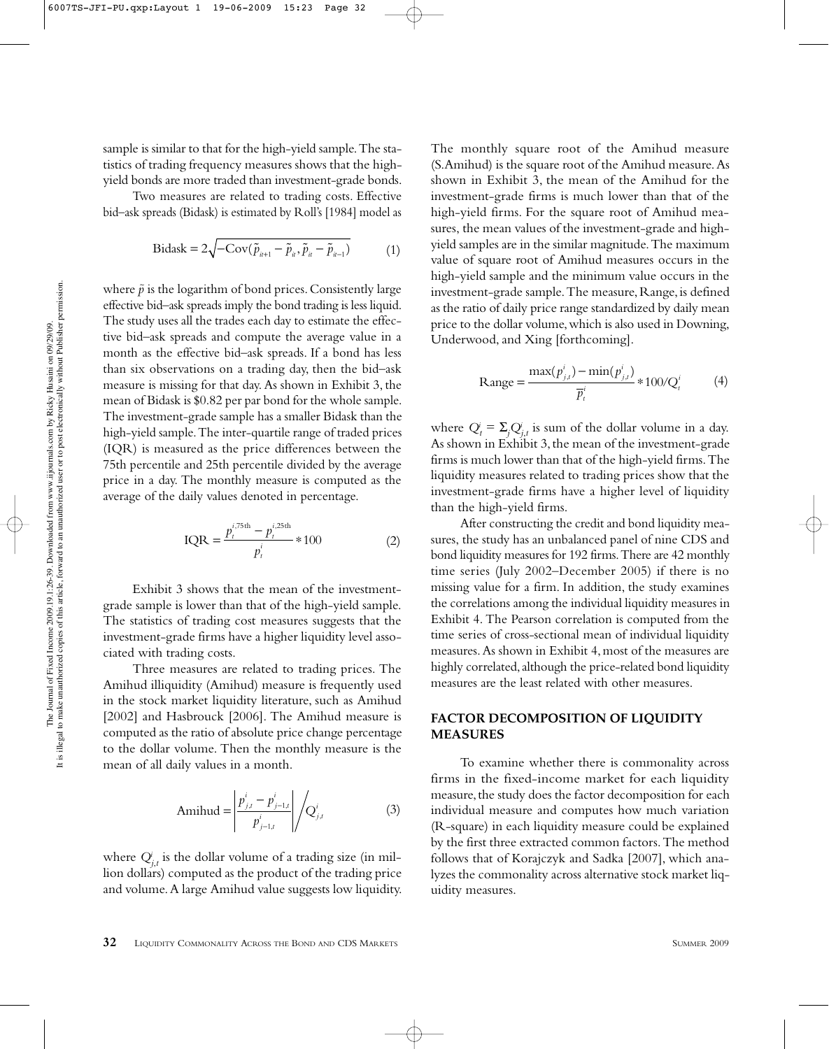sample is similar to that for the high-yield sample. The statistics of trading frequency measures shows that the highyield bonds are more traded than investment-grade bonds.

Two measures are related to trading costs. Effective bid–ask spreads (Bidask) is estimated by Roll's [1984] model as

$$
\text{Bidask} = 2\sqrt{-\text{Cov}(\tilde{p}_{u+1} - \tilde{p}_u, \tilde{p}_u - \tilde{p}_{u-1})}
$$
(1)

where  $\tilde{p}$  is the logarithm of bond prices. Consistently large effective bid–ask spreads imply the bond trading is less liquid. The study uses all the trades each day to estimate the effective bid–ask spreads and compute the average value in a month as the effective bid–ask spreads. If a bond has less than six observations on a trading day, then the bid–ask measure is missing for that day. As shown in Exhibit 3, the mean of Bidask is \$0.82 per par bond for the whole sample. The investment-grade sample has a smaller Bidask than the high-yield sample. The inter-quartile range of traded prices (IQR) is measured as the price differences between the 75th percentile and 25th percentile divided by the average price in a day. The monthly measure is computed as the average of the daily values denoted in percentage.

$$
IQR = \frac{p_t^{i,75th} - p_t^{i,25th}}{p_t^i} * 100
$$
 (2)

Exhibit 3 shows that the mean of the investmentgrade sample is lower than that of the high-yield sample. The statistics of trading cost measures suggests that the investment-grade firms have a higher liquidity level associated with trading costs.

Three measures are related to trading prices. The Amihud illiquidity (Amihud) measure is frequently used in the stock market liquidity literature, such as Amihud [2002] and Hasbrouck [2006]. The Amihud measure is computed as the ratio of absolute price change percentage to the dollar volume. Then the monthly measure is the mean of all daily values in a month.

Amihud = 
$$
\left| \frac{p_{j,t}^i - p_{j-1,t}^i}{p_{j-1,t}^i} \right| / Q_{j,t}^i
$$
 (3)

where  $Q^i_{j,t}$  is the dollar volume of a trading size (in million dollars) computed as the product of the trading price and volume. A large Amihud value suggests low liquidity. The monthly square root of the Amihud measure (S.Amihud) is the square root of the Amihud measure. As shown in Exhibit 3, the mean of the Amihud for the investment-grade firms is much lower than that of the high-yield firms. For the square root of Amihud measures, the mean values of the investment-grade and highyield samples are in the similar magnitude. The maximum value of square root of Amihud measures occurs in the high-yield sample and the minimum value occurs in the investment-grade sample. The measure, Range, is defined as the ratio of daily price range standardized by daily mean price to the dollar volume, which is also used in Downing, Underwood, and Xing [forthcoming].

Range = 
$$
\frac{\max(p_{j,t}^i) - \min(p_{j,t}^i)}{\overline{p}_t^i} * 100/Q_t^i
$$
 (4)

where  $Q_t^i = \sum_j Q_{j,t}^i$  is sum of the dollar volume in a day. As shown in Exhibit 3, the mean of the investment-grade firms is much lower than that of the high-yield firms. The liquidity measures related to trading prices show that the investment-grade firms have a higher level of liquidity than the high-yield firms.

After constructing the credit and bond liquidity measures, the study has an unbalanced panel of nine CDS and bond liquidity measures for 192 firms. There are 42 monthly time series (July 2002–December 2005) if there is no missing value for a firm. In addition, the study examines the correlations among the individual liquidity measures in Exhibit 4. The Pearson correlation is computed from the time series of cross-sectional mean of individual liquidity measures. As shown in Exhibit 4, most of the measures are highly correlated, although the price-related bond liquidity measures are the least related with other measures.

## **FACTOR DECOMPOSITION OF LIQUIDITY MEASURES**

To examine whether there is commonality across firms in the fixed-income market for each liquidity measure, the study does the factor decomposition for each individual measure and computes how much variation (R-square) in each liquidity measure could be explained by the first three extracted common factors. The method follows that of Korajczyk and Sadka [2007], which analyzes the commonality across alternative stock market liquidity measures.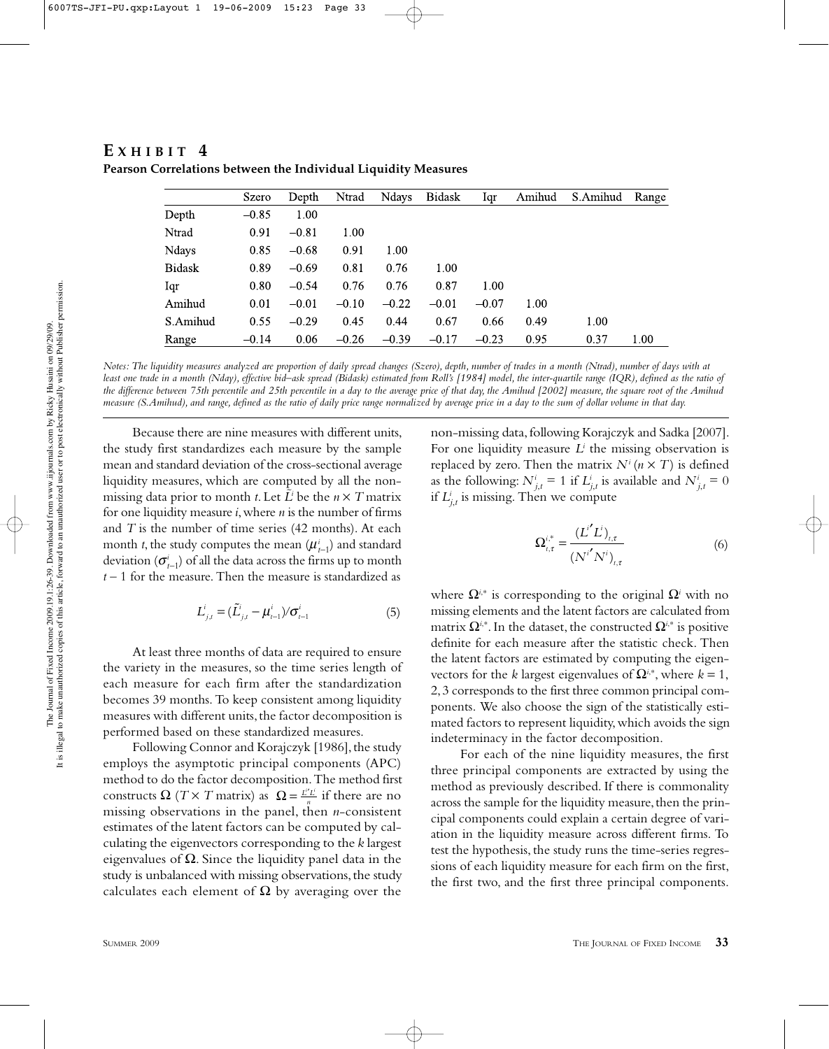|               | <b>Szero</b> | Depth   | Ntrad   | Ndays   | <b>Bidask</b> | Iqr     | Amihud | S.Amihud | Range |
|---------------|--------------|---------|---------|---------|---------------|---------|--------|----------|-------|
| Depth         | $-0.85$      | 1.00    |         |         |               |         |        |          |       |
| Ntrad         | 0.91         | $-0.81$ | 1.00    |         |               |         |        |          |       |
| Ndays         | 0.85         | $-0.68$ | 0.91    | 1.00    |               |         |        |          |       |
| <b>Bidask</b> | 0.89         | $-0.69$ | 0.81    | 0.76    | 1.00          |         |        |          |       |
| Iqr           | 0.80         | $-0.54$ | 0.76    | 0.76    | 0.87          | 1.00    |        |          |       |
| Amihud        | 0.01         | $-0.01$ | $-0.10$ | $-0.22$ | $-0.01$       | $-0.07$ | 1.00   |          |       |
| S.Amihud      | 0.55         | $-0.29$ | 0.45    | 0.44    | 0.67          | 0.66    | 0.49   | 1.00     |       |
| Range         | $-0.14$      | 0.06    | $-0.26$ | $-0.39$ | $-0.17$       | $-0.23$ | 0.95   | 0.37     | 1.00  |

 $E$  **X HIBIT** 4 **Pearson Correlations between the Individual Liquidity Measures**

*Notes: The liquidity measures analyzed are proportion of daily spread changes (Szero), depth, number of trades in a month (Ntrad), number of days with at least one trade in a month (Nday), effective bid–ask spread (Bidask) estimated from Roll's [1984] model, the inter-quartile range (IQR), defined as the ratio of the difference between 75th percentile and 25th percentile in a day to the average price of that day, the Amihud [2002] measure, the square root of the Amihud measure (S.Amihud), and range, defined as the ratio of daily price range normalized by average price in a day to the sum of dollar volume in that day.*

Because there are nine measures with different units, the study first standardizes each measure by the sample mean and standard deviation of the cross-sectional average liquidity measures, which are computed by all the nonmissing data prior to month *t*. Let  $\tilde{L}$ <sup>*i*</sup> be the *n* × *T* matrix for one liquidity measure *i*, where *n* is the number of firms and *T* is the number of time series (42 months). At each month *t*, the study computes the mean  $(\boldsymbol{\mu}_{t-1}^i)$  and standard deviation (*σ<sup>i</sup> t–*1) of all the data across the firms up to month *t* – 1 for the measure. Then the measure is standardized as

$$
L_{j,t}^{i} = (\tilde{L}_{j,t}^{i} - \frac{i}{t-1})/\sigma_{t-1}^{i}
$$
 (5)

At least three months of data are required to ensure the variety in the measures, so the time series length of each measure for each firm after the standardization becomes 39 months. To keep consistent among liquidity measures with different units, the factor decomposition is performed based on these standardized measures.

Following Connor and Korajczyk [1986], the study employs the asymptotic principal components (APC) method to do the factor decomposition. The method first constructs  $\Omega$  (*T* × *T* matrix) as  $\Omega = \frac{L^{\alpha} L^{\beta}}{n}$  if there are no missing observations in the panel, then *n*-consistent estimates of the latent factors can be computed by calculating the eigenvectors corresponding to the *k* largest eigenvalues of  $\Omega$ . Since the liquidity panel data in the study is unbalanced with missing observations, the study calculates each element of  $\Omega$  by averaging over the *i i*

non-missing data, following Korajczyk and Sadka [2007]. For one liquidity measure *Li* the missing observation is replaced by zero. Then the matrix  $N^{i}$  ( $n \times T$ ) is defined as the following:  $N^i_{j,t} = 1$  if  $L^i_{j,t}$  is available and  $N^i_{j,t} = 0$ if  $L^i_{j,t}$  is missing. Then we compute

$$
\Omega_{t,\tau}^{i^*} = \frac{(L^{i'}L^i)_{t,\tau}}{(N^{i'}N^i)_{t,\tau}}
$$
 (6)

where  $\Omega^{i,*}$  is corresponding to the original  $\Omega^i$  with no missing elements and the latent factors are calculated from matrix  $\Omega^{i,*}$ . In the dataset, the constructed  $\Omega^{i,*}$  is positive definite for each measure after the statistic check. Then the latent factors are estimated by computing the eigenvectors for the *k* largest eigenvalues of  $\Omega^{i*}$ , where *k* = 1, 2, 3 corresponds to the first three common principal components. We also choose the sign of the statistically estimated factors to represent liquidity, which avoids the sign indeterminacy in the factor decomposition.

For each of the nine liquidity measures, the first three principal components are extracted by using the method as previously described. If there is commonality across the sample for the liquidity measure, then the principal components could explain a certain degree of variation in the liquidity measure across different firms. To test the hypothesis, the study runs the time-series regressions of each liquidity measure for each firm on the first, the first two, and the first three principal components.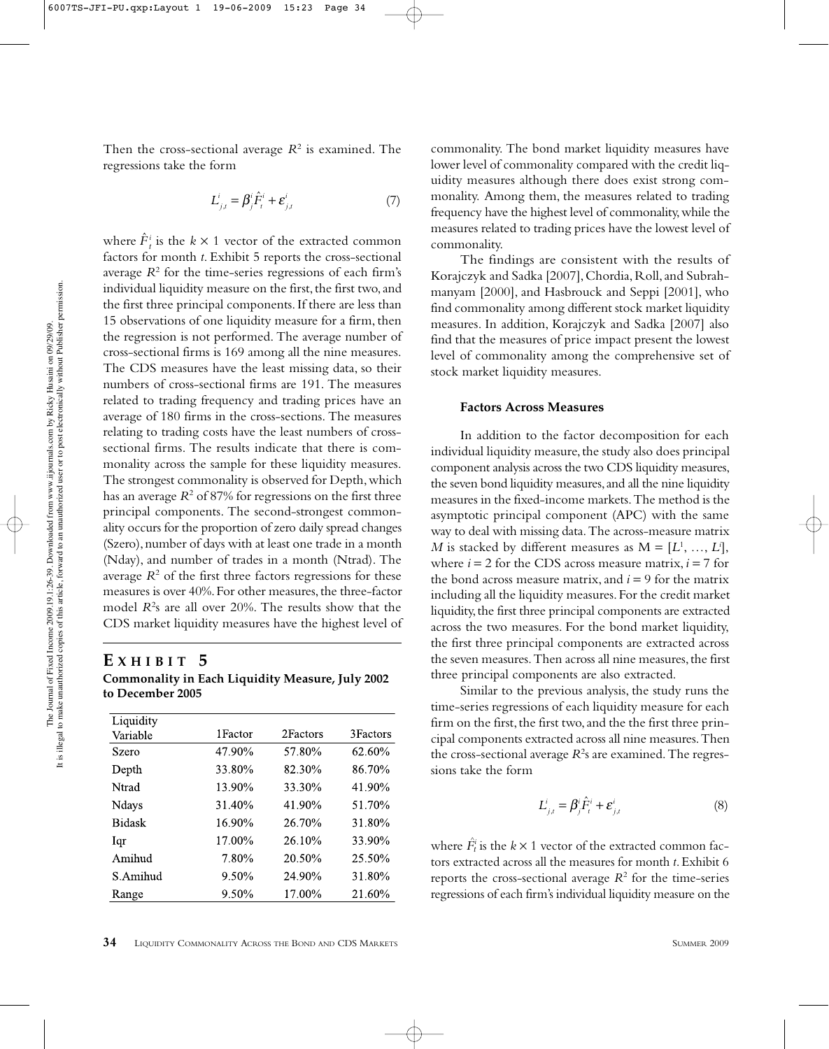Then the cross-sectional average *R*<sup>2</sup> is examined. The regressions take the form

$$
L_{j,t}^i = \beta_j^i \hat{F}_t^i + \varepsilon_{j,t}^i \tag{7}
$$

where  $\hat{F}_t^i$  is the  $k \times 1$  vector of the extracted common factors for month *t*. Exhibit 5 reports the cross-sectional average  $R^2$  for the time-series regressions of each firm's individual liquidity measure on the first, the first two, and the first three principal components. If there are less than 15 observations of one liquidity measure for a firm, then the regression is not performed. The average number of cross-sectional firms is 169 among all the nine measures. The CDS measures have the least missing data, so their numbers of cross-sectional firms are 191. The measures related to trading frequency and trading prices have an average of 180 firms in the cross-sections. The measures relating to trading costs have the least numbers of crosssectional firms. The results indicate that there is commonality across the sample for these liquidity measures. The strongest commonality is observed for Depth, which has an average  $R^2$  of 87% for regressions on the first three principal components. The second-strongest commonality occurs for the proportion of zero daily spread changes (Szero), number of days with at least one trade in a month (Nday), and number of trades in a month (Ntrad). The average  $R<sup>2</sup>$  of the first three factors regressions for these measures is over 40%. For other measures, the three-factor model *R*<sup>2</sup> s are all over 20%. The results show that the CDS market liquidity measures have the highest level of

## **E XHIBIT 5**

**Commonality in Each Liquidity Measure, July 2002 to December 2005**

| Liquidity     |          |          |           |
|---------------|----------|----------|-----------|
| Variable      | 1 Factor | 2Factors | 3 Factors |
| Szero         | 47.90%   | 57.80%   | 62.60%    |
| Depth         | 33.80%   | 82.30%   | 86.70%    |
| Ntrad         | 13.90%   | 33.30%   | 41.90%    |
| Ndays         | 31.40%   | 41.90%   | 51.70%    |
| <b>Bidask</b> | 16.90%   | 26.70%   | 31.80%    |
| Igr           | 17.00%   | 26.10%   | 33.90%    |
| Amihud        | 7.80%    | 20.50%   | 25.50%    |
| S.Amihud      | 9.50%    | 24.90%   | 31.80%    |
| Range         | 9.50%    | 17.00%   | 21.60%    |

commonality. The bond market liquidity measures have lower level of commonality compared with the credit liquidity measures although there does exist strong commonality. Among them, the measures related to trading frequency have the highest level of commonality, while the measures related to trading prices have the lowest level of commonality.

The findings are consistent with the results of Korajczyk and Sadka [2007], Chordia, Roll, and Subrahmanyam [2000], and Hasbrouck and Seppi [2001], who find commonality among different stock market liquidity measures. In addition, Korajczyk and Sadka [2007] also find that the measures of price impact present the lowest level of commonality among the comprehensive set of stock market liquidity measures.

#### **Factors Across Measures**

In addition to the factor decomposition for each individual liquidity measure, the study also does principal component analysis across the two CDS liquidity measures, the seven bond liquidity measures, and all the nine liquidity measures in the fixed-income markets. The method is the asymptotic principal component (APC) with the same way to deal with missing data. The across-measure matrix *M* is stacked by different measures as  $M = [L^1, ..., L^i],$ where  $i = 2$  for the CDS across measure matrix,  $i = 7$  for the bond across measure matrix, and  $i = 9$  for the matrix including all the liquidity measures. For the credit market liquidity, the first three principal components are extracted across the two measures. For the bond market liquidity, the first three principal components are extracted across the seven measures. Then across all nine measures, the first three principal components are also extracted.

Similar to the previous analysis, the study runs the time-series regressions of each liquidity measure for each firm on the first, the first two, and the the first three principal components extracted across all nine measures. Then the cross-sectional average  $R^2$ s are examined. The regressions take the form

$$
L_{j,t}^i = \beta_j^i \hat{F}_t^i + \varepsilon_{j,t}^i
$$
 (8)

where  $\hat{F}^i_t$  is the  $k \times 1$  vector of the extracted common factors extracted across all the measures for month *t*. Exhibit 6 reports the cross-sectional average  $R^2$  for the time-series regressions of each firm's individual liquidity measure on the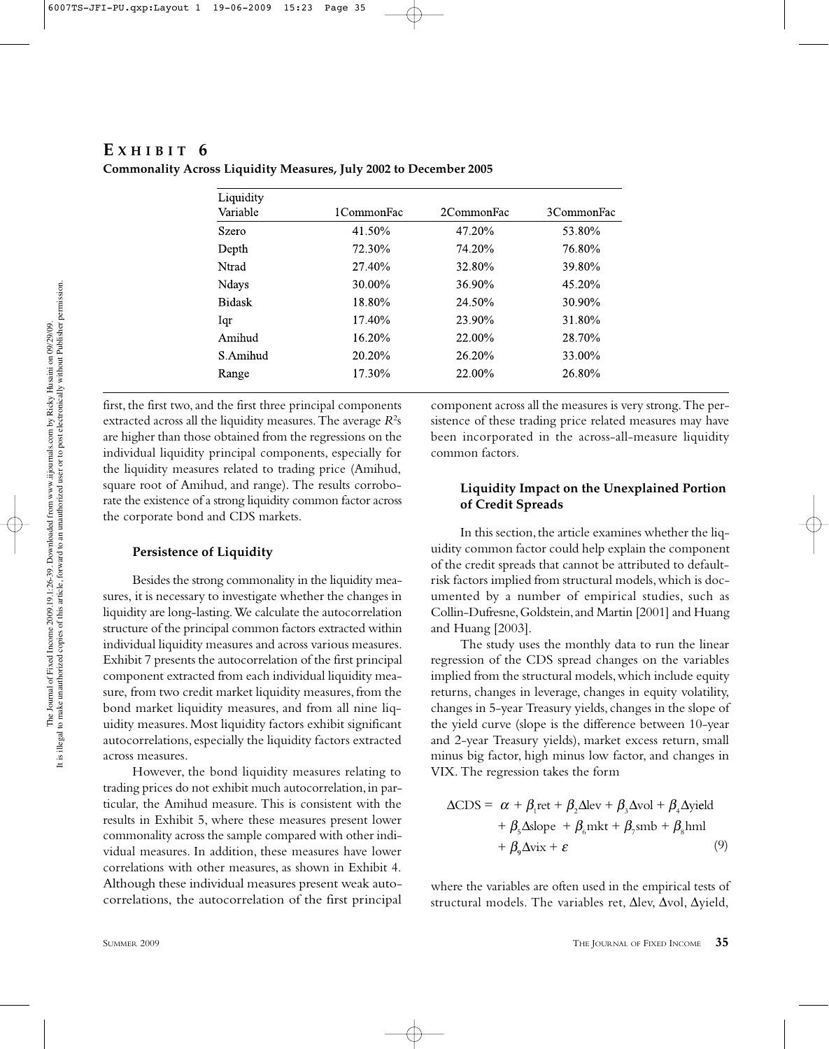## **E XHIBIT 6**

| Liquidity     |            |            |            |
|---------------|------------|------------|------------|
| Variable      | 1CommonFac | 2CommonFac | 3CommonFac |
| Szero         | 41.50%     | 47.20%     | 53.80%     |
| Depth         | 72.30%     | 74.20%     | 76.80%     |
| Ntrad         | 27.40%     | 32.80%     | 39.80%     |
| Ndays         | 30.00%     | 36.90%     | 45.20%     |
| <b>Bidask</b> | 18.80%     | 24.50%     | 30.90%     |
| Iqr           | 17.40%     | 23.90%     | 31.80%     |
| Amihud        | 16.20%     | 22.00%     | 28.70%     |
| S. Amihud     | 20.20%     | 26.20%     | 33.00%     |
| Range         | 17.30%     | 22.00%     | 26.80%     |

**Commonality Across Liquidity Measures, July 2002 to December 2005**

first, the first two, and the first three principal components extracted across all the liquidity measures. The average  $R^2$ s are higher than those obtained from the regressions on the individual liquidity principal components, especially for the liquidity measures related to trading price (Amihud, square root of Amihud, and range). The results corroborate the existence of a strong liquidity common factor across the corporate bond and CDS markets.

#### **Persistence of Liquidity**

Besides the strong commonality in the liquidity measures, it is necessary to investigate whether the changes in liquidity are long-lasting. We calculate the autocorrelation structure of the principal common factors extracted within individual liquidity measures and across various measures. Exhibit 7 presents the autocorrelation of the first principal component extracted from each individual liquidity measure, from two credit market liquidity measures, from the bond market liquidity measures, and from all nine liquidity measures. Most liquidity factors exhibit significant autocorrelations, especially the liquidity factors extracted across measures.

However, the bond liquidity measures relating to trading prices do not exhibit much autocorrelation, in particular, the Amihud measure. This is consistent with the results in Exhibit 5, where these measures present lower commonality across the sample compared with other individual measures. In addition, these measures have lower correlations with other measures, as shown in Exhibit 4. Although these individual measures present weak autocorrelations, the autocorrelation of the first principal

component across all the measures is very strong. The persistence of these trading price related measures may have been incorporated in the across-all-measure liquidity common factors.

## **Liquidity Impact on the Unexplained Portion of Credit Spreads**

In this section, the article examines whether the liquidity common factor could help explain the component of the credit spreads that cannot be attributed to defaultrisk factors implied from structural models, which is documented by a number of empirical studies, such as Collin-Dufresne, Goldstein, and Martin [2001] and Huang and Huang [2003].

The study uses the monthly data to run the linear regression of the CDS spread changes on the variables implied from the structural models, which include equity returns, changes in leverage, changes in equity volatility, changes in 5-year Treasury yields, changes in the slope of the yield curve (slope is the difference between 10-year and 2-year Treasury yields), market excess return, small minus big factor, high minus low factor, and changes in VIX. The regression takes the form

$$
\Delta CDS = \alpha + \beta_1 \text{ret} + \beta_2 \Delta \text{lev} + \beta_3 \Delta \text{vol} + \beta_4 \Delta \text{yield}
$$
  
+  $\beta_5 \Delta \text{slope} + \beta_6 \text{mkt} + \beta_7 \text{smb} + \beta_8 \text{hml}$   
+  $\beta_9 \Delta \text{vix} + \varepsilon$  (9)

where the variables are often used in the empirical tests of structural models. The variables ret, ∆lev, ∆vol, ∆yield,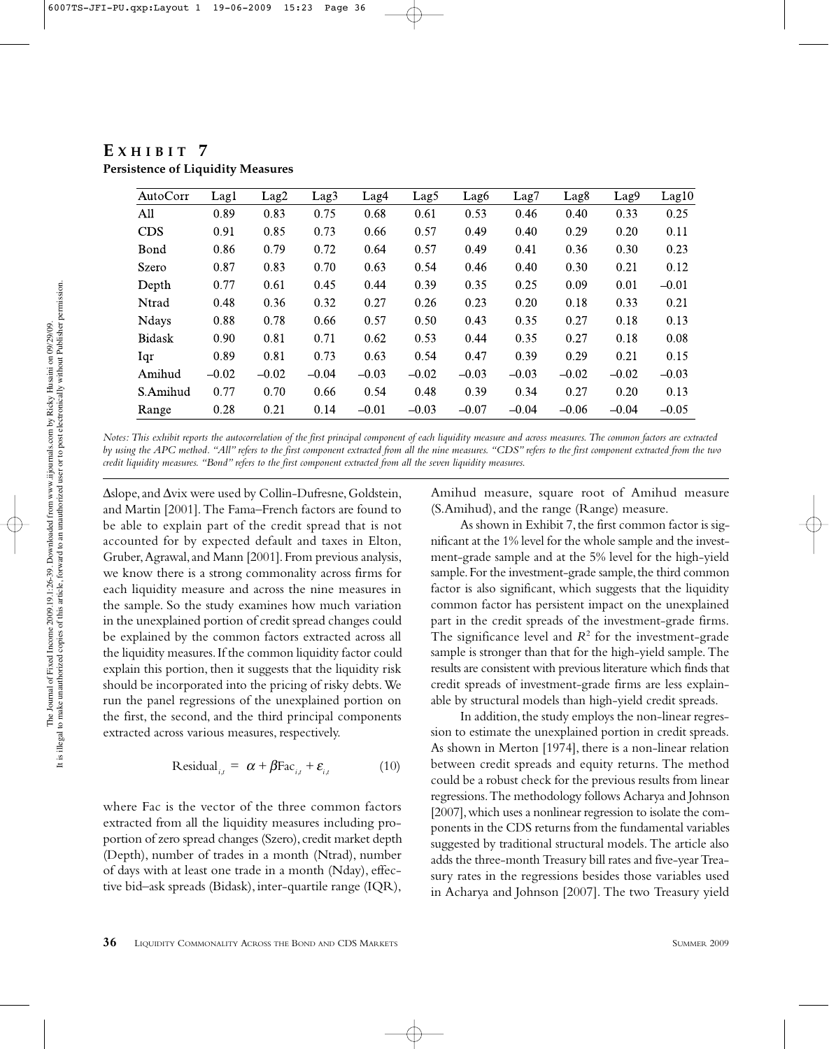| AutoCorr      | Lag1    | Lag <sub>2</sub> | Lag <sub>3</sub> | Lag4    | Lag5    | Lag <sub>6</sub> | Lag7    | Lag <sub>8</sub> | Lag9    | Lag10   |
|---------------|---------|------------------|------------------|---------|---------|------------------|---------|------------------|---------|---------|
| All           | 0.89    | 0.83             | 0.75             | 0.68    | 0.61    | 0.53             | 0.46    | 0.40             | 0.33    | 0.25    |
| <b>CDS</b>    | 0.91    | 0.85             | 0.73             | 0.66    | 0.57    | 0.49             | 0.40    | 0.29             | 0.20    | 0.11    |
| Bond          | 0.86    | 0.79             | 0.72             | 0.64    | 0.57    | 0.49             | 0.41    | 0.36             | 0.30    | 0.23    |
| Szero         | 0.87    | 0.83             | 0.70             | 0.63    | 0.54    | 0.46             | 0.40    | 0.30             | 0.21    | 0.12    |
| Depth         | 0.77    | 0.61             | 0.45             | 0.44    | 0.39    | 0.35             | 0.25    | 0.09             | 0.01    | $-0.01$ |
| Ntrad         | 0.48    | 0.36             | 0.32             | 0.27    | 0.26    | 0.23             | 0.20    | 0.18             | 0.33    | 0.21    |
| <b>Ndays</b>  | 0.88    | 0.78             | 0.66             | 0.57    | 0.50    | 0.43             | 0.35    | 0.27             | 0.18    | 0.13    |
| <b>Bidask</b> | 0.90    | 0.81             | 0.71             | 0.62    | 0.53    | 0.44             | 0.35    | 0.27             | 0.18    | 0.08    |
| Iqr           | 0.89    | 0.81             | 0.73             | 0.63    | 0.54    | 0.47             | 0.39    | 0.29             | 0.21    | 0.15    |
| Amihud        | $-0.02$ | $-0.02$          | $-0.04$          | $-0.03$ | $-0.02$ | $-0.03$          | $-0.03$ | $-0.02$          | $-0.02$ | $-0.03$ |
| S.Amihud      | 0.77    | 0.70             | 0.66             | 0.54    | 0.48    | 0.39             | 0.34    | 0.27             | 0.20    | 0.13    |
| Range         | 0.28    | 0.21             | 0.14             | $-0.01$ | $-0.03$ | $-0.07$          | $-0.04$ | $-0.06$          | $-0.04$ | $-0.05$ |

**E XHIBIT 7 Persistence of Liquidity Measures**

*Notes: This exhibit reports the autocorrelation of the first principal component of each liquidity measure and across measures. The common factors are extracted by using the APC method. "All" refers to the first component extracted from all the nine measures. "CDS" refers to the first component extracted from the two credit liquidity measures. "Bond" refers to the first component extracted from all the seven liquidity measures.*

∆slope, and ∆vix were used by Collin-Dufresne, Goldstein, and Martin [2001]. The Fama–French factors are found to be able to explain part of the credit spread that is not accounted for by expected default and taxes in Elton, Gruber, Agrawal, and Mann [2001]. From previous analysis, we know there is a strong commonality across firms for each liquidity measure and across the nine measures in the sample. So the study examines how much variation in the unexplained portion of credit spread changes could be explained by the common factors extracted across all the liquidity measures. If the common liquidity factor could explain this portion, then it suggests that the liquidity risk should be incorporated into the pricing of risky debts. We run the panel regressions of the unexplained portion on the first, the second, and the third principal components extracted across various measures, respectively.

Residual<sub>*i,t*</sub> = 
$$
\alpha + \beta \text{Fac}_{i,t} + \varepsilon_{i,t}
$$
 (10)

where Fac is the vector of the three common factors extracted from all the liquidity measures including proportion of zero spread changes (Szero), credit market depth (Depth), number of trades in a month (Ntrad), number of days with at least one trade in a month (Nday), effective bid–ask spreads (Bidask), inter-quartile range (IQR),

Amihud measure, square root of Amihud measure (S.Amihud), and the range (Range) measure.

As shown in Exhibit 7, the first common factor is significant at the 1% level for the whole sample and the investment-grade sample and at the 5% level for the high-yield sample. For the investment-grade sample, the third common factor is also significant, which suggests that the liquidity common factor has persistent impact on the unexplained part in the credit spreads of the investment-grade firms. The significance level and *R*<sup>2</sup> for the investment-grade sample is stronger than that for the high-yield sample. The results are consistent with previous literature which finds that credit spreads of investment-grade firms are less explainable by structural models than high-yield credit spreads.

In addition, the study employs the non-linear regression to estimate the unexplained portion in credit spreads. As shown in Merton [1974], there is a non-linear relation between credit spreads and equity returns. The method could be a robust check for the previous results from linear regressions. The methodology follows Acharya and Johnson [2007], which uses a nonlinear regression to isolate the components in the CDS returns from the fundamental variables suggested by traditional structural models. The article also adds the three-month Treasury bill rates and five-year Treasury rates in the regressions besides those variables used in Acharya and Johnson [2007]. The two Treasury yield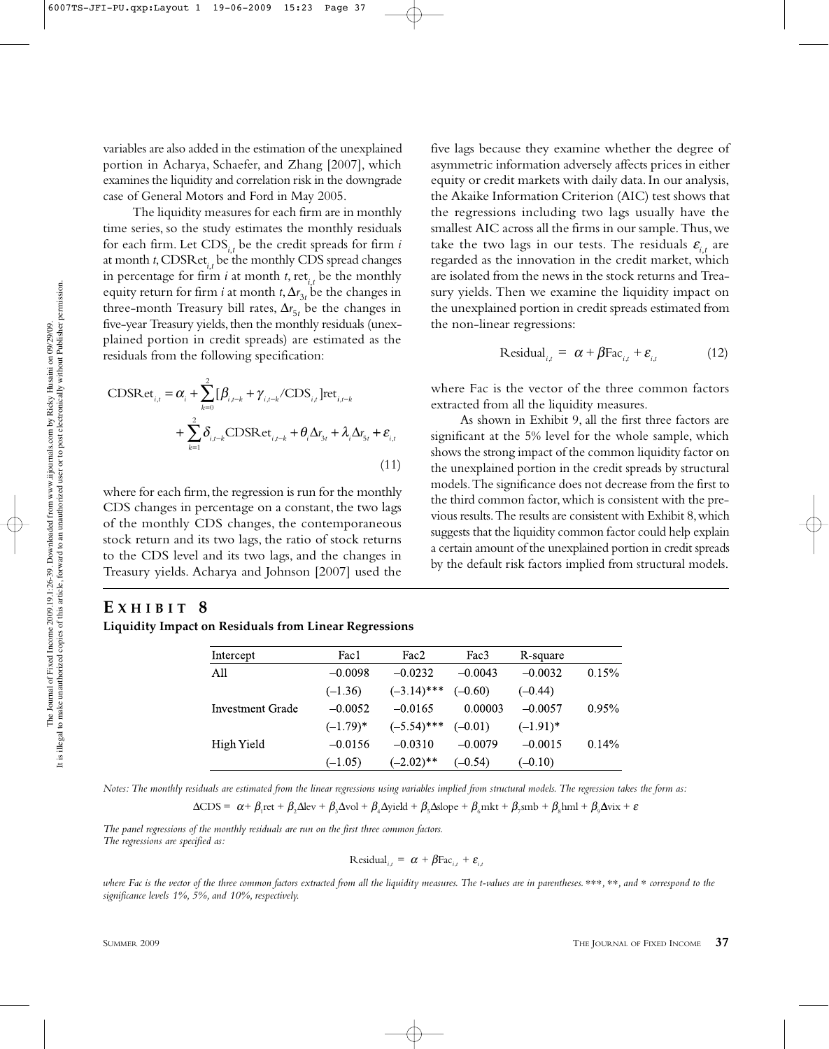variables are also added in the estimation of the unexplained portion in Acharya, Schaefer, and Zhang [2007], which examines the liquidity and correlation risk in the downgrade case of General Motors and Ford in May 2005.

The liquidity measures for each firm are in monthly time series, so the study estimates the monthly residuals for each firm. Let CDS*i*,*<sup>t</sup>* be the credit spreads for firm *i* at month *t*, CDSRet*i*,*<sup>t</sup>* be the monthly CDS spread changes in percentage for firm *i* at month *t*, ret<sub>*i*,t</sub> be the monthly equity return for firm *i* at month *t*,  $\Delta r_{3t}$  be the changes in three-month Treasury bill rates,  $\Delta r_{5t}$  be the changes in five-year Treasury yields, then the monthly residuals (unexplained portion in credit spreads) are estimated as the residuals from the following specification:

$$
\text{CDSRet}_{i,t} = \alpha_i + \sum_{k=0}^{2} [\beta_{i,t-k} + \gamma_{i,t-k}/\text{CDS}_{i,t}] \text{ret}_{i,t-k} + \sum_{k=1}^{2} \delta_{i,t-k} \text{CDSRet}_{i,t-k} + \theta_i \Delta r_{3t} + \lambda_i \Delta r_{5t} + \varepsilon_{i,t}
$$
\n(11)

where for each firm, the regression is run for the monthly CDS changes in percentage on a constant, the two lags of the monthly CDS changes, the contemporaneous stock return and its two lags, the ratio of stock returns to the CDS level and its two lags, and the changes in Treasury yields. Acharya and Johnson [2007] used the

# **E XHIBIT 8**

**Liquidity Impact on Residuals from Linear Regressions**

five lags because they examine whether the degree of asymmetric information adversely affects prices in either equity or credit markets with daily data. In our analysis, the Akaike Information Criterion (AIC) test shows that the regressions including two lags usually have the smallest AIC across all the firms in our sample. Thus, we take the two lags in our tests. The residuals  $\varepsilon$ <sub>*i,t*</sub> are regarded as the innovation in the credit market, which are isolated from the news in the stock returns and Treasury yields. Then we examine the liquidity impact on the unexplained portion in credit spreads estimated from the non-linear regressions:

$$
Residual_{i,t} = \alpha + \beta Fac_{i,t} + \varepsilon_{i,t}
$$
 (12)

where Fac is the vector of the three common factors extracted from all the liquidity measures.

As shown in Exhibit 9, all the first three factors are significant at the 5% level for the whole sample, which shows the strong impact of the common liquidity factor on the unexplained portion in the credit spreads by structural models. The significance does not decrease from the first to the third common factor, which is consistent with the previous results. The results are consistent with Exhibit 8, which suggests that the liquidity common factor could help explain a certain amount of the unexplained portion in credit spreads by the default risk factors implied from structural models.

| Intercept        | Fac1        | Fac2          | Fac3      | R-square    |          |
|------------------|-------------|---------------|-----------|-------------|----------|
| All              | $-0.0098$   | $-0.0232$     | $-0.0043$ | $-0.0032$   | 0.15%    |
|                  | $(-1.36)$   | $(-3.14)$ *** | $(-0.60)$ | $(-0.44)$   |          |
| Investment Grade | $-0.0052$   | $-0.0165$     | 0.00003   | $-0.0057$   | $0.95\%$ |
|                  | $(-1.79)^*$ | $(-5.54)$ *** | $(-0.01)$ | $(-1.91)^*$ |          |
| High Yield       | $-0.0156$   | $-0.0310$     | $-0.0079$ | $-0.0015$   | 0.14%    |
|                  | $(-1.05)$   | $(-2.02)$ **  | $(-0.54)$ | $(-0.10)$   |          |

*Notes: The monthly residuals are estimated from the linear regressions using variables implied from structural models. The regression takes the form as:*

 $\Delta CDS = \alpha + \beta_1 \text{ret} + \beta_2 \Delta \text{lev} + \beta_3 \Delta \text{vol} + \beta_4 \Delta \text{yield} + \beta_5 \Delta \text{slope} + \beta_6 \text{mkt} + \beta_7 \text{smb} + \beta_8 \text{hml} + \beta_9 \Delta \text{vix} + \varepsilon$ 

*The panel regressions of the monthly residuals are run on the first three common factors. The regressions are specified as:*

Residual<sub>*i,t*</sub> = 
$$
\alpha + \beta \text{Fac}_{i,t} + \varepsilon_{i,t}
$$

*where Fac is the vector of the three common factors extracted from all the liquidity measures. The t-values are in parentheses.* ∗∗∗*,* ∗∗*, and* ∗ *correspond to the significance levels 1%, 5%, and 10%, respectively.*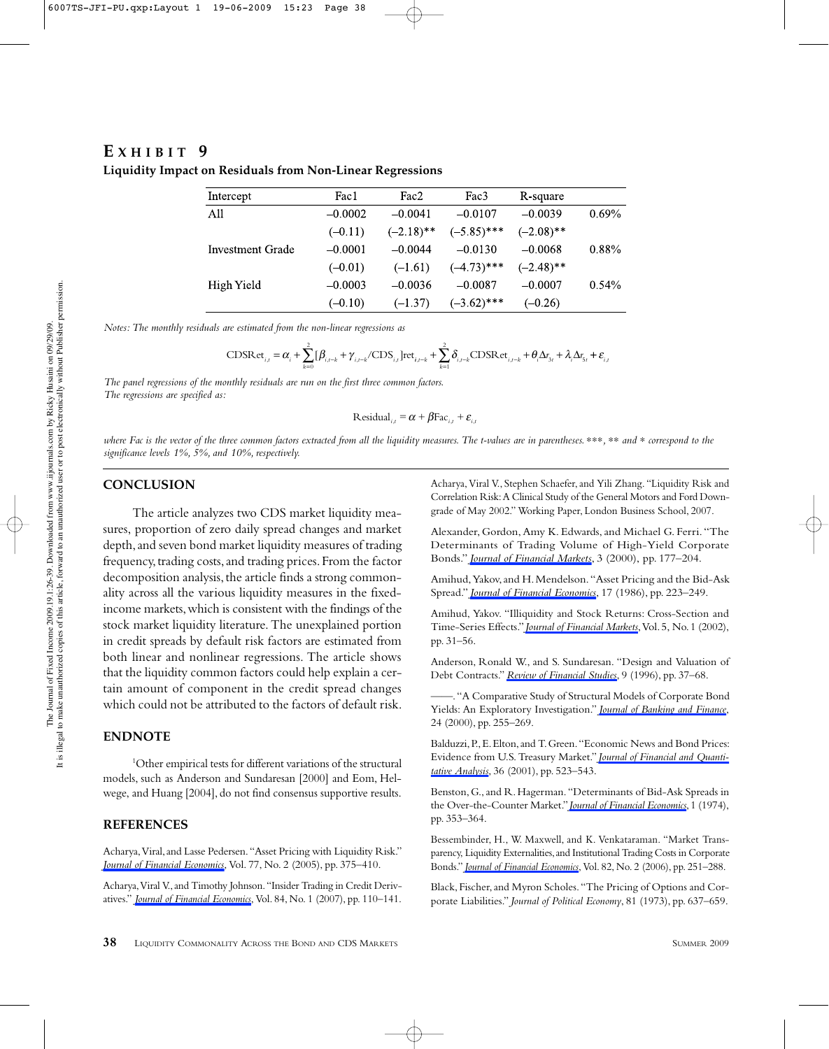# **E XHIBIT 9**

| Intercept        | Fac1      | Fac2         | Fac3          | R-square     |       |
|------------------|-----------|--------------|---------------|--------------|-------|
| All              | $-0.0002$ | $-0.0041$    | $-0.0107$     | $-0.0039$    | 0.69% |
|                  | $(-0.11)$ | $(-2.18)$ ** | $(-5.85)$ *** | $(-2.08)$ ** |       |
| Investment Grade | $-0.0001$ | $-0.0044$    | $-0.0130$     | $-0.0068$    | 0.88% |
|                  | $(-0.01)$ | $(-1.61)$    | $(-4.73)$ *** | $(-2.48)$ ** |       |
| High Yield       | $-0.0003$ | $-0.0036$    | $-0.0087$     | $-0.0007$    | 0.54% |
|                  | $(-0.10)$ | $(-1.37)$    | $(-3.62)$ *** | $(-0.26)$    |       |

**Liquidity Impact on Residuals from Non-Linear Regressions**

*Notes: The monthly residuals are estimated from the non-linear regressions as*

$$
\text{CDSRet}_{i,t} = \alpha_i + \sum_{k=0}^{2} [\beta_{i,t-k} + \gamma_{i,t-k}/\text{CDS}_{i,t}] \text{ret}_{i,t-k} + \sum_{k=1}^{2} \delta_{i,t-k} \text{CDSRet}_{i,t-k} + \theta_i \Delta r_{3t} + \lambda_i \Delta r_{5t} + \varepsilon_{i,t}
$$

*The panel regressions of the monthly residuals are run on the first three common factors. The regressions are specified as:*

Residual<sub>*i,t*</sub> = 
$$
\alpha + \beta \text{Fac}_{i,t} + \varepsilon_{i,t}
$$

*where Fac is the vector of the three common factors extracted from all the liquidity measures. The t-values are in parentheses.* ∗∗∗*,* ∗∗ *and* ∗ *correspond to the significance levels 1%, 5%, and 10%, respectively.*

#### **CONCLUSION**

The article analyzes two CDS market liquidity measures, proportion of zero daily spread changes and market depth, and seven bond market liquidity measures of trading frequency, trading costs, and trading prices. From the factor decomposition analysis, the article finds a strong commonality across all the various liquidity measures in the fixedincome markets, which is consistent with the findings of the stock market liquidity literature. The unexplained portion in credit spreads by default risk factors are estimated from both linear and nonlinear regressions. The article shows that the liquidity common factors could help explain a certain amount of component in the credit spread changes which could not be attributed to the factors of default risk.

#### **ENDNOTE**

1 Other empirical tests for different variations of the structural models, such as Anderson and Sundaresan [2000] and Eom, Helwege, and Huang [2004], do not find consensus supportive results.

#### **REFERENCES**

Acharya, Viral, and Lasse Pedersen. "Asset Pricing with Liquidity Risk." *Journal of Financial Economics*, Vol. 77, No. 2 (2005), pp. 375–410.

Acharya, Viral V., and Timothy Johnson. "Insider Trading in Credit Derivatives." *Journal of Financial Economics*, Vol. 84, No. 1 (2007), pp. 110–141. Acharya, Viral V., Stephen Schaefer, and Yili Zhang. "Liquidity Risk and Correlation Risk: A Clinical Study of the General Motors and Ford Downgrade of May 2002." Working Paper, London Business School, 2007.

Alexander, Gordon, Amy K. Edwards, and Michael G. Ferri. "The Determinants of Trading Volume of High-Yield Corporate Bonds." *Journal of Financial Markets*, 3 (2000), pp. 177–204.

Amihud, Yakov, and H. Mendelson. "Asset Pricing and the Bid-Ask Spread." *Journal of Financial Economics*, 17 (1986), pp. 223–249.

Amihud, Yakov. "Illiquidity and Stock Returns: Cross-Section and Time-Series Effects." *Journal of Financial Markets*, Vol. 5, No. 1 (2002), pp. 31–56.

Anderson, Ronald W., and S. Sundaresan. "Design and Valuation of Debt Contracts." *Review of Financial Studies*, 9 (1996), pp. 37–68.

——. "A Comparative Study of Structural Models of Corporate Bond Yields: An Exploratory Investigation." *Journal of Banking and Finance*, 24 (2000), pp. 255–269.

Balduzzi, P., E. Elton, and T. Green. "Economic News and Bond Prices: Evidence from U.S. Treasury Market." *Journal of Financial and Quantitative Analysis*, 36 (2001), pp. 523–543.

Benston, G., and R. Hagerman. "Determinants of Bid-Ask Spreads in the Over-the-Counter Market." *Journal of Financial Economics*, 1 (1974), pp. 353–364.

Bessembinder, H., W. Maxwell, and K. Venkataraman. "Market Transparency, Liquidity Externalities, and Institutional Trading Costs in Corporate Bonds." *Journal of Financial Economics*, Vol. 82, No. 2 (2006), pp. 251–288.

Black, Fischer, and Myron Scholes. "The Pricing of Options and Corporate Liabilities." *Journal of Political Economy*, 81 (1973), pp. 637–659.